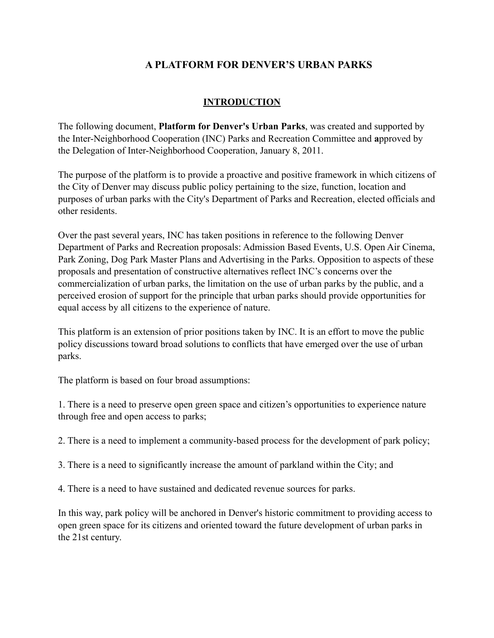# **A PLATFORM FOR DENVER'S URBAN PARKS**

## **INTRODUCTION**

The following document, **Platform for Denver's Urban Parks**, was created and supported by the Inter-Neighborhood Cooperation (INC) Parks and Recreation Committee and **a**pproved by the Delegation of Inter-Neighborhood Cooperation, January 8, 2011.

The purpose of the platform is to provide a proactive and positive framework in which citizens of the City of Denver may discuss public policy pertaining to the size, function, location and purposes of urban parks with the City's Department of Parks and Recreation, elected officials and other residents.

Over the past several years, INC has taken positions in reference to the following Denver Department of Parks and Recreation proposals: Admission Based Events, U.S. Open Air Cinema, Park Zoning, Dog Park Master Plans and Advertising in the Parks. Opposition to aspects of these proposals and presentation of constructive alternatives reflect INC's concerns over the commercialization of urban parks, the limitation on the use of urban parks by the public, and a perceived erosion of support for the principle that urban parks should provide opportunities for equal access by all citizens to the experience of nature.

This platform is an extension of prior positions taken by INC. It is an effort to move the public policy discussions toward broad solutions to conflicts that have emerged over the use of urban parks.

The platform is based on four broad assumptions:

1. There is a need to preserve open green space and citizen's opportunities to experience nature through free and open access to parks;

2. There is a need to implement a community-based process for the development of park policy;

3. There is a need to significantly increase the amount of parkland within the City; and

4. There is a need to have sustained and dedicated revenue sources for parks.

In this way, park policy will be anchored in Denver's historic commitment to providing access to open green space for its citizens and oriented toward the future development of urban parks in the 21st century.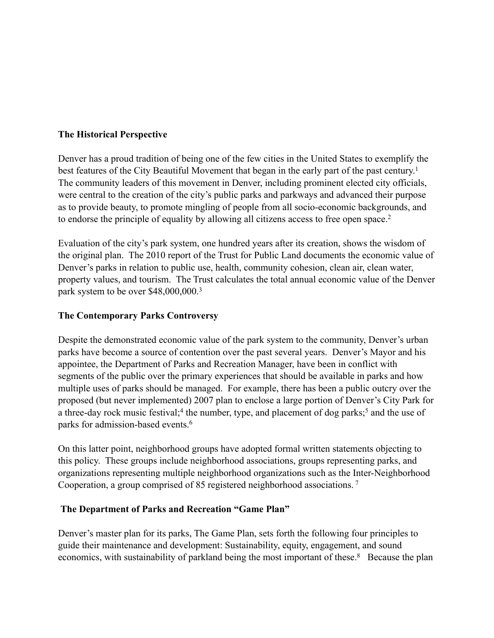#### **The Historical Perspective**

Denver has a proud tradition of being one of the few cities in the United States to exemplify the best features of the City Beautiful Movement that began in the early part of the past century.<sup>1</sup> The community leaders of this movement in Denver, including prominent elected city officials, were central to the creation of the city's public parks and parkways and advanced their purpose as to provide beauty, to promote mingling of people from all socio-economic backgrounds, and to endorse the principle of equality by allowing all citizens access to free open space.<sup>2</sup>

Evaluation of the city's park system, one hundred years after its creation, shows the wisdom of the original plan. The 2010 report of the Trust for Public Land documents the economic value of Denver's parks in relation to public use, health, community cohesion, clean air, clean water, property values, and tourism. The Trust calculates the total annual economic value of the Denver park system to be over \$48,000,000.3

#### **The Contemporary Parks Controversy**

Despite the demonstrated economic value of the park system to the community, Denver's urban parks have become a source of contention over the past several years. Denver's Mayor and his appointee, the Department of Parks and Recreation Manager, have been in conflict with segments of the public over the primary experiences that should be available in parks and how multiple uses of parks should be managed. For example, there has been a public outcry over the proposed (but never implemented) 2007 plan to enclose a large portion of Denver's City Park for a three-day rock music festival;<sup>4</sup> the number, type, and placement of dog parks;<sup>5</sup> and the use of parks for admission-based events.6

On this latter point, neighborhood groups have adopted formal written statements objecting to this policy. These groups include neighborhood associations, groups representing parks, and organizations representing multiple neighborhood organizations such as the Inter-Neighborhood Cooperation, a group comprised of 85 registered neighborhood associations. 7

#### **The Department of Parks and Recreation "Game Plan"**

Denver's master plan for its parks, The Game Plan, sets forth the following four principles to guide their maintenance and development: Sustainability, equity, engagement, and sound economics, with sustainability of parkland being the most important of these.<sup>8</sup> Because the plan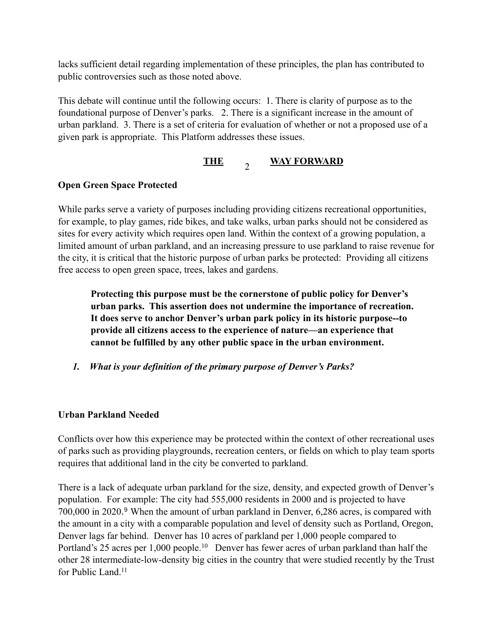lacks sufficient detail regarding implementation of these principles, the plan has contributed to public controversies such as those noted above.

This debate will continue until the following occurs: 1. There is clarity of purpose as to the foundational purpose of Denver's parks. 2. There is a significant increase in the amount of urban parkland. 3. There is a set of criteria for evaluation of whether or not a proposed use of a given park is appropriate. This Platform addresses these issues.

#### **THE WAY FORWARD**  $\overline{2}$

## **Open Green Space Protected**

While parks serve a variety of purposes including providing citizens recreational opportunities, for example, to play games, ride bikes, and take walks, urban parks should not be considered as sites for every activity which requires open land. Within the context of a growing population, a limited amount of urban parkland, and an increasing pressure to use parkland to raise revenue for the city, it is critical that the historic purpose of urban parks be protected: Providing all citizens free access to open green space, trees, lakes and gardens.

**Protecting this purpose must be the cornerstone of public policy for Denver's urban parks. This assertion does not undermine the importance of recreation. It does serve to anchor Denver's urban park policy in its historic purpose--to provide all citizens access to the experience of nature—an experience that cannot be fulfilled by any other public space in the urban environment.**

*1. What is your definition of the primary purpose of Denver's Parks?* 

#### **Urban Parkland Needed**

Conflicts over how this experience may be protected within the context of other recreational uses of parks such as providing playgrounds, recreation centers, or fields on which to play team sports requires that additional land in the city be converted to parkland.

There is a lack of adequate urban parkland for the size, density, and expected growth of Denver's population. For example: The city had 555,000 residents in 2000 and is projected to have 700,000 in 2020.9 When the amount of urban parkland in Denver, 6,286 acres, is compared with the amount in a city with a comparable population and level of density such as Portland, Oregon, Denver lags far behind. Denver has 10 acres of parkland per 1,000 people compared to Portland's 25 acres per 1,000 people.<sup>10</sup> Denver has fewer acres of urban parkland than half the other 28 intermediate-low-density big cities in the country that were studied recently by the Trust for Public Land<sup>11</sup>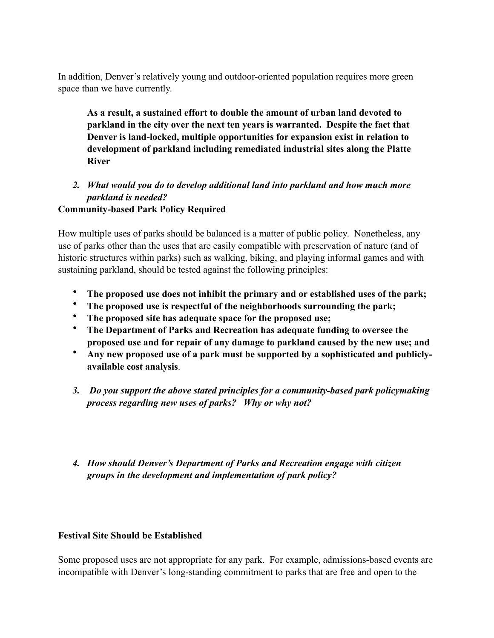In addition, Denver's relatively young and outdoor-oriented population requires more green space than we have currently.

**As a result, a sustained effort to double the amount of urban land devoted to parkland in the city over the next ten years is warranted. Despite the fact that Denver is land-locked, multiple opportunities for expansion exist in relation to development of parkland including remediated industrial sites along the Platte River**

## *2. What would you do to develop additional land into parkland and how much more parkland is needed?*

## **Community-based Park Policy Required**

How multiple uses of parks should be balanced is a matter of public policy. Nonetheless, any use of parks other than the uses that are easily compatible with preservation of nature (and of historic structures within parks) such as walking, biking, and playing informal games and with sustaining parkland, should be tested against the following principles:

- **The proposed use does not inhibit the primary and or established uses of the park;**
- **The proposed use is respectful of the neighborhoods surrounding the park;**
- **The proposed site has adequate space for the proposed use;**
- **The Department of Parks and Recreation has adequate funding to oversee the proposed use and for repair of any damage to parkland caused by the new use; and**
- **Any new proposed use of a park must be supported by a sophisticated and publiclyavailable cost analysis**.
- *3. Do you support the above stated principles for a community-based park policymaking process regarding new uses of parks? Why or why not?*
- *4. How should Denver's Department of Parks and Recreation engage with citizen groups in the development and implementation of park policy?*

#### **Festival Site Should be Established**

Some proposed uses are not appropriate for any park. For example, admissions-based events are incompatible with Denver's long-standing commitment to parks that are free and open to the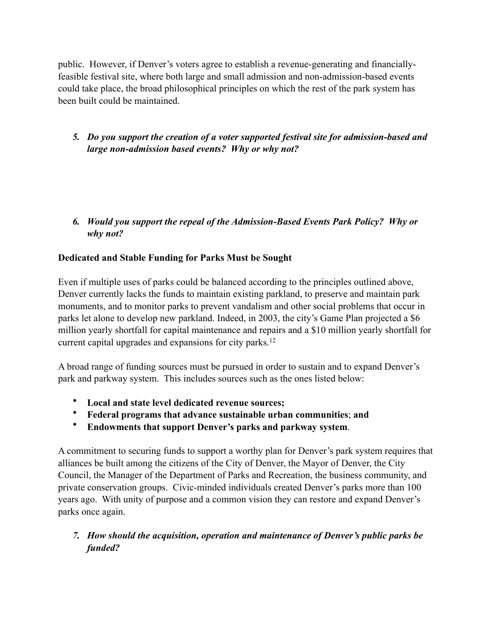public. However, if Denver's voters agree to establish a revenue-generating and financiallyfeasible festival site, where both large and small admission and non-admission-based events could take place, the broad philosophical principles on which the rest of the park system has been built could be maintained.

## *5. Do you support the creation of a voter supported festival site for admission-based and large non-admission based events? Why or why not?*

## *6. Would you support the repeal of the Admission-Based Events Park Policy? Why or why not?*

## **Dedicated and Stable Funding for Parks Must be Sought**

Even if multiple uses of parks could be balanced according to the principles outlined above, Denver currently lacks the funds to maintain existing parkland, to preserve and maintain park monuments, and to monitor parks to prevent vandalism and other social problems that occur in parks let alone to develop new parkland. Indeed, in 2003, the city's Game Plan projected a \$6 million yearly shortfall for capital maintenance and repairs and a \$10 million yearly shortfall for current capital upgrades and expansions for city parks.<sup>12</sup>

A broad range of funding sources must be pursued in order to sustain and to expand Denver's park and parkway system. This includes sources such as the ones listed below:

- **Local and state level dedicated revenue sources;**
- **Federal programs that advance sustainable urban communities**; **and**
- **Endowments that support Denver's parks and parkway system**.

A commitment to securing funds to support a worthy plan for Denver's park system requires that alliances be built among the citizens of the City of Denver, the Mayor of Denver, the City Council, the Manager of the Department of Parks and Recreation, the business community, and private conservation groups. Civic-minded individuals created Denver's parks more than 100 years ago. With unity of purpose and a common vision they can restore and expand Denver's parks once again.

## *7. How should the acquisition, operation and maintenance of Denver's public parks be funded?*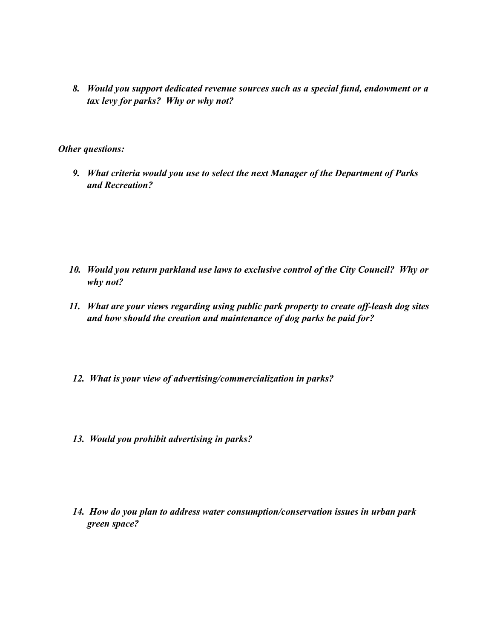*8. Would you support dedicated revenue sources such as a special fund, endowment or a tax levy for parks? Why or why not?* 

*Other questions:*

*9. What criteria would you use to select the next Manager of the Department of Parks and Recreation?* 

- *10. Would you return parkland use laws to exclusive control of the City Council? Why or why not?*
- *11. What are your views regarding using public park property to create off-leash dog sites and how should the creation and maintenance of dog parks be paid for?*
- *12. What is your view of advertising/commercialization in parks?*
- *13. Would you prohibit advertising in parks?*
- *14. How do you plan to address water consumption/conservation issues in urban park green space?*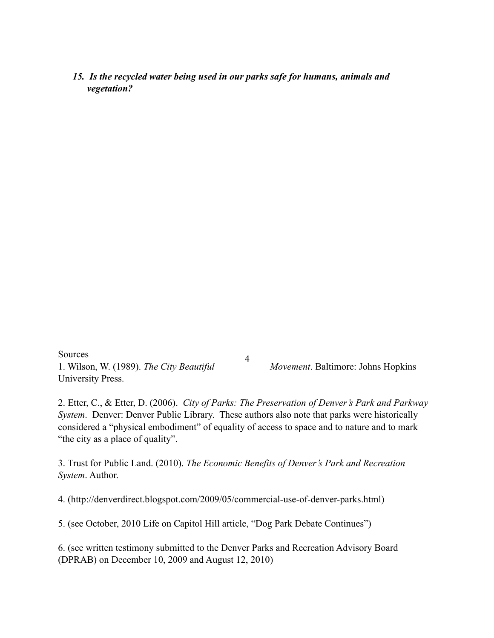#### *15. Is the recycled water being used in our parks safe for humans, animals and vegetation?*

Sources 1. Wilson, W. (1989). *The City Beautiful Movement*. Baltimore: Johns Hopkins University Press.

4

2. Etter, C., & Etter, D. (2006). *City of Parks: The Preservation of Denver's Park and Parkway System*. Denver: Denver Public Library. These authors also note that parks were historically considered a "physical embodiment" of equality of access to space and to nature and to mark "the city as a place of quality".

3. Trust for Public Land. (2010). *The Economic Benefits of Denver's Park and Recreation System*. Author.

4. (http://denverdirect.blogspot.com/2009/05/commercial-use-of-denver-parks.html)

5. (see October, 2010 Life on Capitol Hill article, "Dog Park Debate Continues")

6. (see written testimony submitted to the Denver Parks and Recreation Advisory Board (DPRAB) on December 10, 2009 and August 12, 2010)